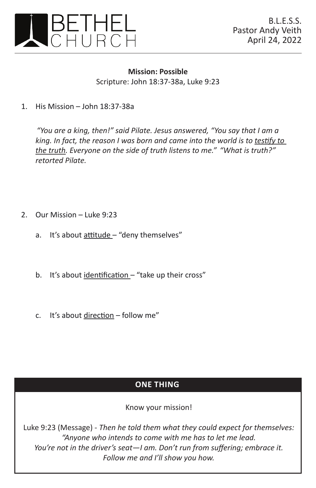

**Mission: Possible** Scripture: John 18:37-38a, Luke 9:23

1. His Mission – John  $18:37-38a$ 

*"You are a king, then!" said Pilate. Jesus answered, "You say that I am a*  king. In fact, the reason I was born and came into the world is to testify to *the truth. Everyone on the side of truth listens to me." "What is truth?" retorted Pilate.*

- 2. Our Mission Luke 9:23
	- a. It's about attitude "deny themselves"
	- b. It's about identification "take up their cross"
	- c. It's about direction follow me"

## **ONE THING**

Know your mission!

Luke 9:23 (Message) - *Then he told them what they could expect for themselves: "Anyone who intends to come with me has to let me lead. You're not in the driver's seat—I am. Don't run from suffering; embrace it. Follow me and I'll show you how.*